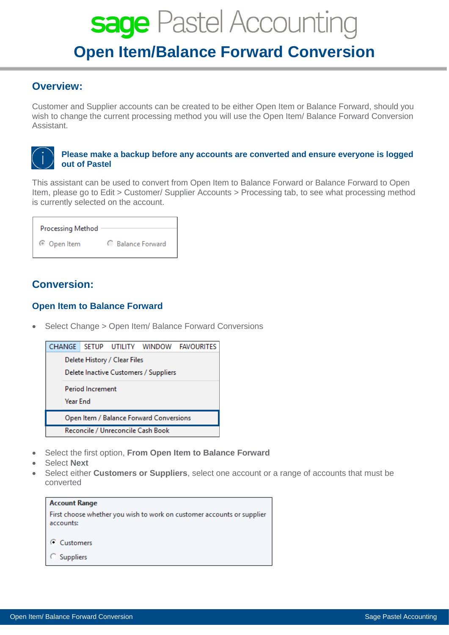# sage Pastel Accounting **Open Item/Balance Forward Conversion**

### **Overview:**

Customer and Supplier accounts can be created to be either Open Item or Balance Forward, should you wish to change the current processing method you will use the Open Item/ Balance Forward Conversion Assistant.

#### **Please make a backup before any accounts are converted and ensure everyone is logged out of Pastel**

This assistant can be used to convert from Open Item to Balance Forward or Balance Forward to Open Item, please go to Edit > Customer/ Supplier Accounts > Processing tab, to see what processing method is currently selected on the account.

| <b>Processing Method</b> |                        |
|--------------------------|------------------------|
| © Open Item              | <b>Balance Forward</b> |

## **Conversion:**

#### **Open Item to Balance Forward**

• Select Change > Open Item/ Balance Forward Conversions



- Select the first option, **From Open Item to Balance Forward**
- Select **Next**
- Select either **Customers or Suppliers**, select one account or a range of accounts that must be converted

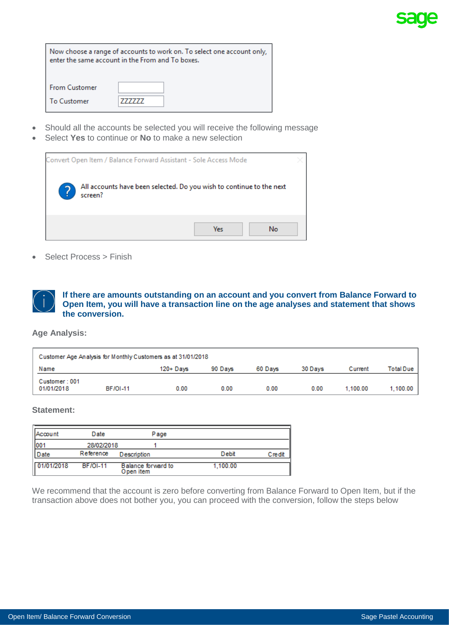| Now choose a range of accounts to work on. To select one account only,<br>enter the same account in the From and To boxes. |  |  |
|----------------------------------------------------------------------------------------------------------------------------|--|--|
| <b>From Customer</b>                                                                                                       |  |  |
| To Customer                                                                                                                |  |  |

- Should all the accounts be selected you will receive the following message
- Select **Yes** to continue or **No** to make a new selection



• Select Process > Finish

**If there are amounts outstanding on an account and you convert from Balance Forward to Open Item, you will have a transaction line on the age analyses and statement that shows the conversion.**

**Age Analysis:**

| Customer Age Analysis for Monthly Customers as at 31/01/2018 |                 |              |         |         |         |          |           |
|--------------------------------------------------------------|-----------------|--------------|---------|---------|---------|----------|-----------|
| Name                                                         |                 | $120 +$ Davs | 90 Days | 60 Davs | 30 Days | Current  | Total Due |
| Customer: 001<br>01/01/2018                                  | <b>BF/OI-11</b> | 0.00         | 0.00    | 0.00    | 0.00    | 1.100.00 | 1,100.00  |

#### **Statement:**

| Account         | Date            | Page                            |          |        |
|-----------------|-----------------|---------------------------------|----------|--------|
| 00 <sup>1</sup> | 28/02/2018      |                                 |          |        |
| Date            | Reference       | Description                     | Debit    | Credit |
| 01/01/2018      | <b>BF/OI-11</b> | Balance forward to<br>Open item | 1.100.00 |        |

We recommend that the account is zero before converting from Balance Forward to Open Item, but if the transaction above does not bother you, you can proceed with the conversion, follow the steps below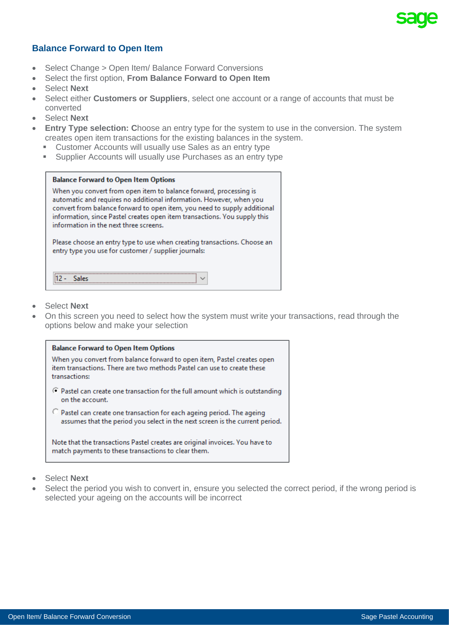#### **Balance Forward to Open Item**

- Select Change > Open Item/ Balance Forward Conversions
- Select the first option, **From Balance Forward to Open Item**
- Select **Next**
- Select either **Customers or Suppliers**, select one account or a range of accounts that must be converted
- Select **Next**
- **Entry Type selection: C**hoose an entry type for the system to use in the conversion. The system creates open item transactions for the existing balances in the system.
	- **EXECOUNTS IN ACCOUNTS WILL USUALLY USE Sales as an entry type**
	- **EXECOUNTER IN SUPPLEY 12 SUPPLEY 15 ISS** Supplier Accounts will usually use Purchases as an entry type

| <b>Balance Forward to Open Item Options</b>                                                                                                                                                                                                                                                                                                 |
|---------------------------------------------------------------------------------------------------------------------------------------------------------------------------------------------------------------------------------------------------------------------------------------------------------------------------------------------|
| When you convert from open item to balance forward, processing is<br>automatic and requires no additional information. However, when you<br>convert from balance forward to open item, you need to supply additional<br>information, since Pastel creates open item transactions. You supply this<br>information in the next three screens. |
| Please choose an entry type to use when creating transactions. Choose an<br>entry type you use for customer / supplier journals:                                                                                                                                                                                                            |
|                                                                                                                                                                                                                                                                                                                                             |

- Select **Next**
- On this screen you need to select how the system must write your transactions, read through the options below and make your selection



- Select **Next**
- Select the period you wish to convert in, ensure you selected the correct period, if the wrong period is selected your ageing on the accounts will be incorrect